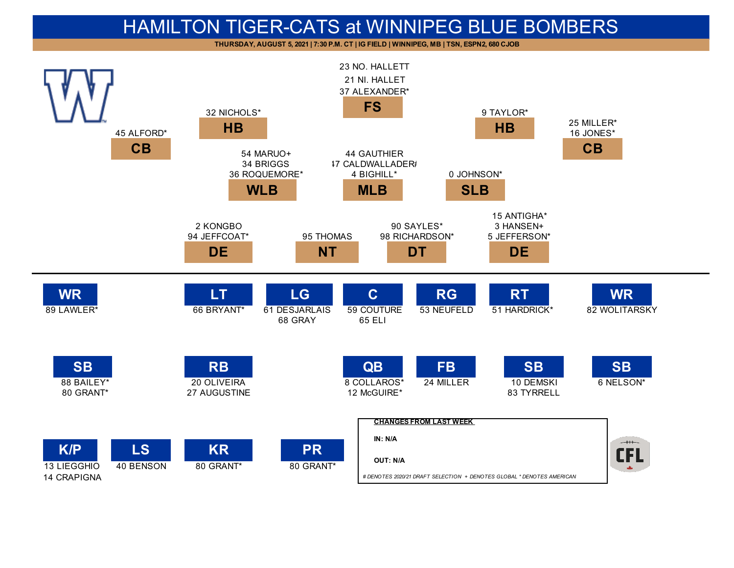## HAMILTON TIGER-CATS at WINNIPEG BLUE BOMBERS

**THURSDAY, AUGUST 5, 2021 | 7:30 P.M. CT | IG FIELD | WINNIPEG, MB | TSN, ESPN2, 680 CJOB**